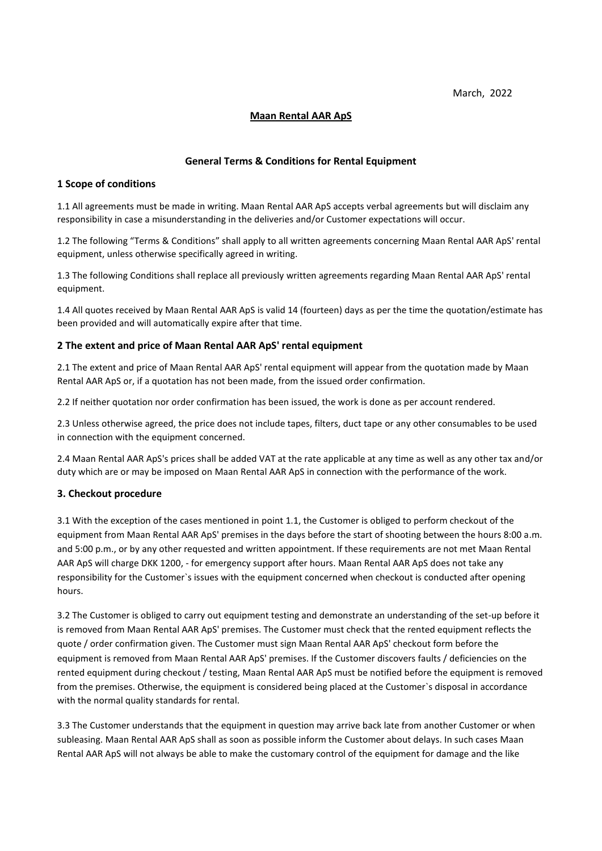March, 2022

## **Maan Rental AAR ApS**

### **General Terms & Conditions for Rental Equipment**

### **1 Scope of conditions**

1.1 All agreements must be made in writing. Maan Rental AAR ApS accepts verbal agreements but will disclaim any responsibility in case a misunderstanding in the deliveries and/or Customer expectations will occur.

1.2 The following "Terms & Conditions" shall apply to all written agreements concerning Maan Rental AAR ApS' rental equipment, unless otherwise specifically agreed in writing.

1.3 The following Conditions shall replace all previously written agreements regarding Maan Rental AAR ApS' rental equipment.

1.4 All quotes received by Maan Rental AAR ApS is valid 14 (fourteen) days as per the time the quotation/estimate has been provided and will automatically expire after that time.

## **2 The extent and price of Maan Rental AAR ApS' rental equipment**

2.1 The extent and price of Maan Rental AAR ApS' rental equipment will appear from the quotation made by Maan Rental AAR ApS or, if a quotation has not been made, from the issued order confirmation.

2.2 If neither quotation nor order confirmation has been issued, the work is done as per account rendered.

2.3 Unless otherwise agreed, the price does not include tapes, filters, duct tape or any other consumables to be used in connection with the equipment concerned.

2.4 Maan Rental AAR ApS's prices shall be added VAT at the rate applicable at any time as well as any other tax and/or duty which are or may be imposed on Maan Rental AAR ApS in connection with the performance of the work.

# **3. Checkout procedure**

3.1 With the exception of the cases mentioned in point 1.1, the Customer is obliged to perform checkout of the equipment from Maan Rental AAR ApS' premises in the days before the start of shooting between the hours 8:00 a.m. and 5:00 p.m., or by any other requested and written appointment. If these requirements are not met Maan Rental AAR ApS will charge DKK 1200, - for emergency support after hours. Maan Rental AAR ApS does not take any responsibility for the Customer`s issues with the equipment concerned when checkout is conducted after opening hours.

3.2 The Customer is obliged to carry out equipment testing and demonstrate an understanding of the set-up before it is removed from Maan Rental AAR ApS' premises. The Customer must check that the rented equipment reflects the quote / order confirmation given. The Customer must sign Maan Rental AAR ApS' checkout form before the equipment is removed from Maan Rental AAR ApS' premises. If the Customer discovers faults / deficiencies on the rented equipment during checkout / testing, Maan Rental AAR ApS must be notified before the equipment is removed from the premises. Otherwise, the equipment is considered being placed at the Customer`s disposal in accordance with the normal quality standards for rental.

3.3 The Customer understands that the equipment in question may arrive back late from another Customer or when subleasing. Maan Rental AAR ApS shall as soon as possible inform the Customer about delays. In such cases Maan Rental AAR ApS will not always be able to make the customary control of the equipment for damage and the like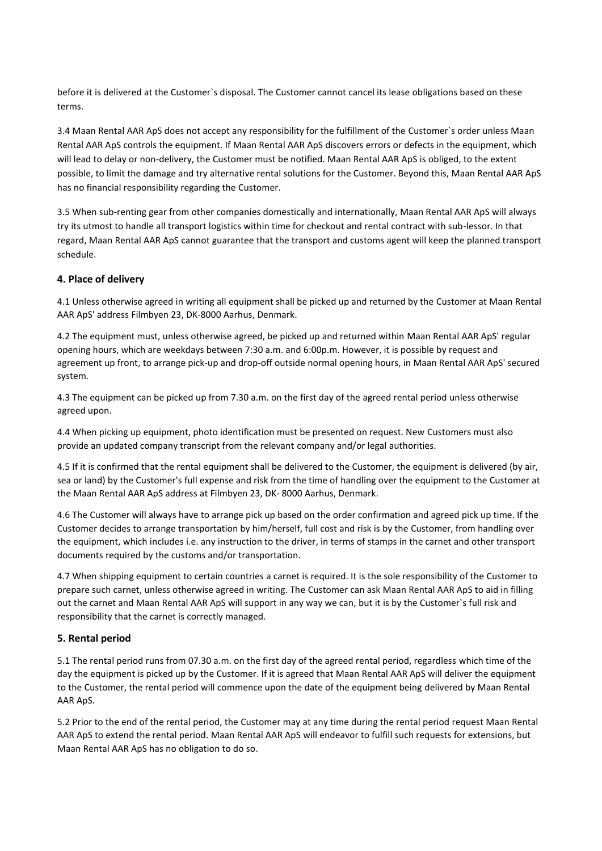before it is delivered at the Customer`s disposal. The Customer cannot cancel its lease obligations based on these terms.

3.4 Maan Rental AAR ApS does not accept any responsibility for the fulfillment of the Customer`s order unless Maan Rental AAR ApS controls the equipment. If Maan Rental AAR ApS discovers errors or defects in the equipment, which will lead to delay or non-delivery, the Customer must be notified. Maan Rental AAR ApS is obliged, to the extent possible, to limit the damage and try alternative rental solutions for the Customer. Beyond this, Maan Rental AAR ApS has no financial responsibility regarding the Customer.

3.5 When sub-renting gear from other companies domestically and internationally, Maan Rental AAR ApS will always try its utmost to handle all transport logistics within time for checkout and rental contract with sub-lessor. In that regard, Maan Rental AAR ApS cannot guarantee that the transport and customs agent will keep the planned transport schedule.

# **4. Place of delivery**

4.1 Unless otherwise agreed in writing all equipment shall be picked up and returned by the Customer at Maan Rental AAR ApS' address Filmbyen 23, DK-8000 Aarhus, Denmark.

4.2 The equipment must, unless otherwise agreed, be picked up and returned within Maan Rental AAR ApS' regular opening hours, which are weekdays between 7:30 a.m. and 6:00p.m. However, it is possible by request and agreement up front, to arrange pick-up and drop-off outside normal opening hours, in Maan Rental AAR ApS' secured system.

4.3 The equipment can be picked up from 7.30 a.m. on the first day of the agreed rental period unless otherwise agreed upon.

4.4 When picking up equipment, photo identification must be presented on request. New Customers must also provide an updated company transcript from the relevant company and/or legal authorities.

4.5 If it is confirmed that the rental equipment shall be delivered to the Customer, the equipment is delivered (by air, sea or land) by the Customer's full expense and risk from the time of handling over the equipment to the Customer at the Maan Rental AAR ApS address at Filmbyen 23, DK- 8000 Aarhus, Denmark.

4.6 The Customer will always have to arrange pick up based on the order confirmation and agreed pick up time. If the Customer decides to arrange transportation by him/herself, full cost and risk is by the Customer, from handling over the equipment, which includes i.e. any instruction to the driver, in terms of stamps in the carnet and other transport documents required by the customs and/or transportation.

4.7 When shipping equipment to certain countries a carnet is required. It is the sole responsibility of the Customer to prepare such carnet, unless otherwise agreed in writing. The Customer can ask Maan Rental AAR ApS to aid in filling out the carnet and Maan Rental AAR ApS will support in any way we can, but it is by the Customer`s full risk and responsibility that the carnet is correctly managed.

### **5. Rental period**

5.1 The rental period runs from 07.30 a.m. on the first day of the agreed rental period, regardless which time of the day the equipment is picked up by the Customer. If it is agreed that Maan Rental AAR ApS will deliver the equipment to the Customer, the rental period will commence upon the date of the equipment being delivered by Maan Rental AAR ApS.

5.2 Prior to the end of the rental period, the Customer may at any time during the rental period request Maan Rental AAR ApS to extend the rental period. Maan Rental AAR ApS will endeavor to fulfill such requests for extensions, but Maan Rental AAR ApS has no obligation to do so.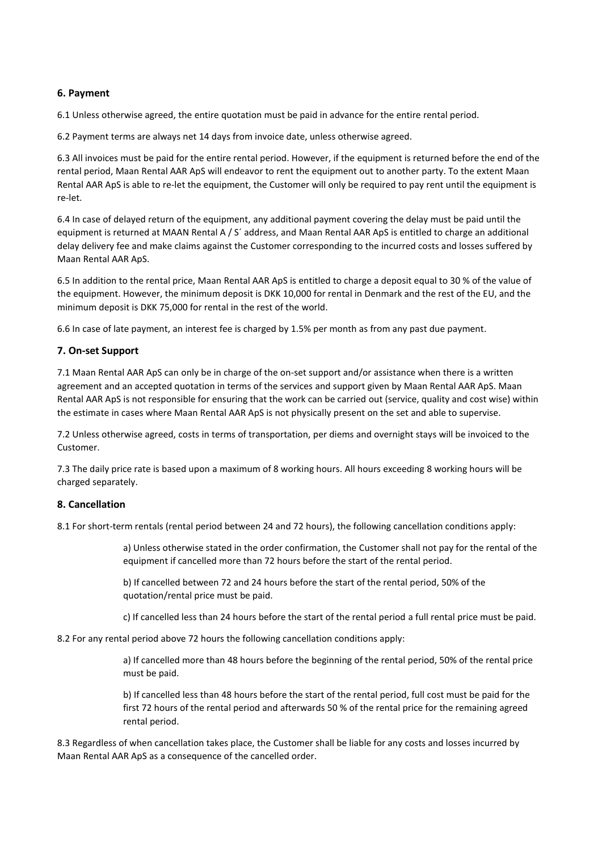## **6. Payment**

6.1 Unless otherwise agreed, the entire quotation must be paid in advance for the entire rental period.

6.2 Payment terms are always net 14 days from invoice date, unless otherwise agreed.

6.3 All invoices must be paid for the entire rental period. However, if the equipment is returned before the end of the rental period, Maan Rental AAR ApS will endeavor to rent the equipment out to another party. To the extent Maan Rental AAR ApS is able to re-let the equipment, the Customer will only be required to pay rent until the equipment is re-let.

6.4 In case of delayed return of the equipment, any additional payment covering the delay must be paid until the equipment is returned at MAAN Rental A / S´ address, and Maan Rental AAR ApS is entitled to charge an additional delay delivery fee and make claims against the Customer corresponding to the incurred costs and losses suffered by Maan Rental AAR ApS.

6.5 In addition to the rental price, Maan Rental AAR ApS is entitled to charge a deposit equal to 30 % of the value of the equipment. However, the minimum deposit is DKK 10,000 for rental in Denmark and the rest of the EU, and the minimum deposit is DKK 75,000 for rental in the rest of the world.

6.6 In case of late payment, an interest fee is charged by 1.5% per month as from any past due payment.

### **7. On-set Support**

7.1 Maan Rental AAR ApS can only be in charge of the on-set support and/or assistance when there is a written agreement and an accepted quotation in terms of the services and support given by Maan Rental AAR ApS. Maan Rental AAR ApS is not responsible for ensuring that the work can be carried out (service, quality and cost wise) within the estimate in cases where Maan Rental AAR ApS is not physically present on the set and able to supervise.

7.2 Unless otherwise agreed, costs in terms of transportation, per diems and overnight stays will be invoiced to the Customer.

7.3 The daily price rate is based upon a maximum of 8 working hours. All hours exceeding 8 working hours will be charged separately.

### **8. Cancellation**

8.1 For short-term rentals (rental period between 24 and 72 hours), the following cancellation conditions apply:

a) Unless otherwise stated in the order confirmation, the Customer shall not pay for the rental of the equipment if cancelled more than 72 hours before the start of the rental period.

b) If cancelled between 72 and 24 hours before the start of the rental period, 50% of the quotation/rental price must be paid.

c) If cancelled less than 24 hours before the start of the rental period a full rental price must be paid.

8.2 For any rental period above 72 hours the following cancellation conditions apply:

a) If cancelled more than 48 hours before the beginning of the rental period, 50% of the rental price must be paid.

b) If cancelled less than 48 hours before the start of the rental period, full cost must be paid for the first 72 hours of the rental period and afterwards 50 % of the rental price for the remaining agreed rental period.

8.3 Regardless of when cancellation takes place, the Customer shall be liable for any costs and losses incurred by Maan Rental AAR ApS as a consequence of the cancelled order.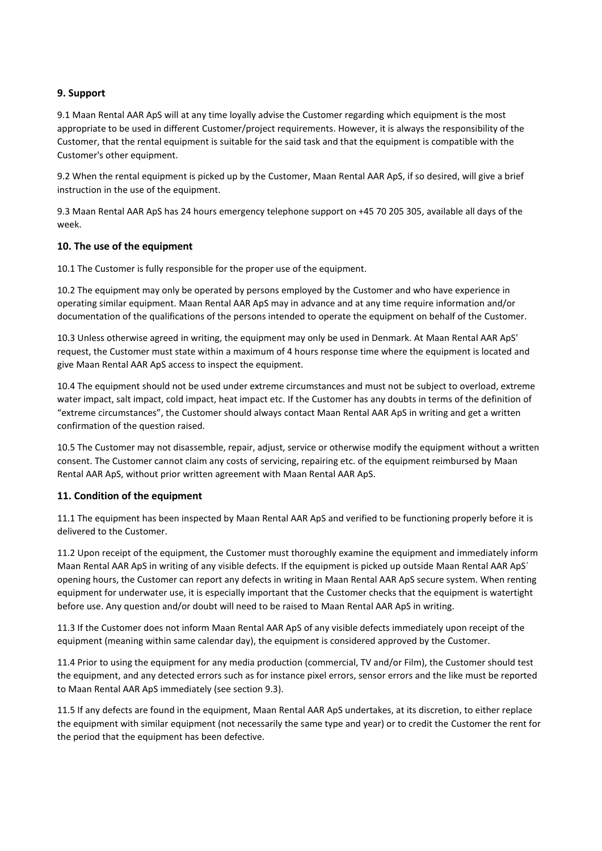# **9. Support**

9.1 Maan Rental AAR ApS will at any time loyally advise the Customer regarding which equipment is the most appropriate to be used in different Customer/project requirements. However, it is always the responsibility of the Customer, that the rental equipment is suitable for the said task and that the equipment is compatible with the Customer's other equipment.

9.2 When the rental equipment is picked up by the Customer, Maan Rental AAR ApS, if so desired, will give a brief instruction in the use of the equipment.

9.3 Maan Rental AAR ApS has 24 hours emergency telephone support on +45 70 205 305, available all days of the week.

## **10. The use of the equipment**

10.1 The Customer is fully responsible for the proper use of the equipment.

10.2 The equipment may only be operated by persons employed by the Customer and who have experience in operating similar equipment. Maan Rental AAR ApS may in advance and at any time require information and/or documentation of the qualifications of the persons intended to operate the equipment on behalf of the Customer.

10.3 Unless otherwise agreed in writing, the equipment may only be used in Denmark. At Maan Rental AAR ApS' request, the Customer must state within a maximum of 4 hours response time where the equipment is located and give Maan Rental AAR ApS access to inspect the equipment.

10.4 The equipment should not be used under extreme circumstances and must not be subject to overload, extreme water impact, salt impact, cold impact, heat impact etc. If the Customer has any doubts in terms of the definition of "extreme circumstances", the Customer should always contact Maan Rental AAR ApS in writing and get a written confirmation of the question raised.

10.5 The Customer may not disassemble, repair, adjust, service or otherwise modify the equipment without a written consent. The Customer cannot claim any costs of servicing, repairing etc. of the equipment reimbursed by Maan Rental AAR ApS, without prior written agreement with Maan Rental AAR ApS.

# **11. Condition of the equipment**

11.1 The equipment has been inspected by Maan Rental AAR ApS and verified to be functioning properly before it is delivered to the Customer.

11.2 Upon receipt of the equipment, the Customer must thoroughly examine the equipment and immediately inform Maan Rental AAR ApS in writing of any visible defects. If the equipment is picked up outside Maan Rental AAR ApS´ opening hours, the Customer can report any defects in writing in Maan Rental AAR ApS secure system. When renting equipment for underwater use, it is especially important that the Customer checks that the equipment is watertight before use. Any question and/or doubt will need to be raised to Maan Rental AAR ApS in writing.

11.3 If the Customer does not inform Maan Rental AAR ApS of any visible defects immediately upon receipt of the equipment (meaning within same calendar day), the equipment is considered approved by the Customer.

11.4 Prior to using the equipment for any media production (commercial, TV and/or Film), the Customer should test the equipment, and any detected errors such as for instance pixel errors, sensor errors and the like must be reported to Maan Rental AAR ApS immediately (see section 9.3).

11.5 If any defects are found in the equipment, Maan Rental AAR ApS undertakes, at its discretion, to either replace the equipment with similar equipment (not necessarily the same type and year) or to credit the Customer the rent for the period that the equipment has been defective.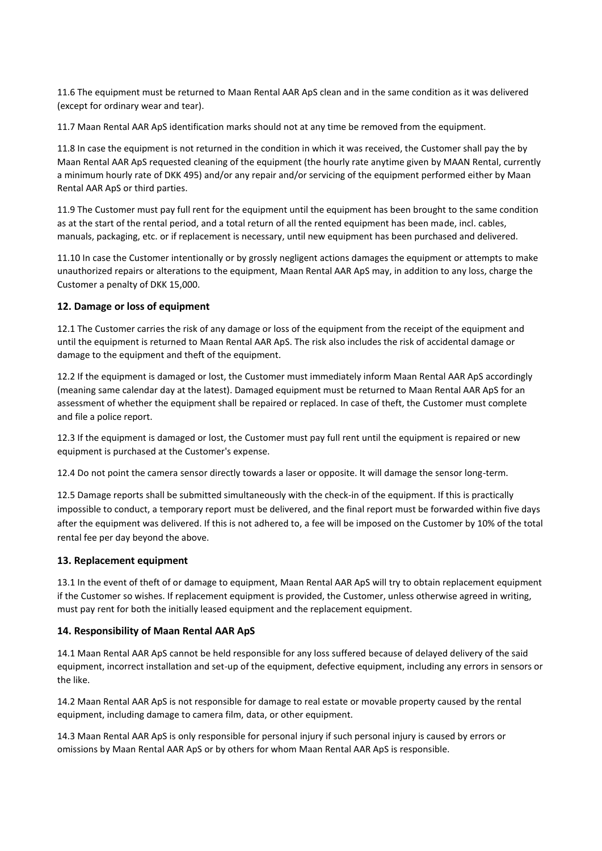11.6 The equipment must be returned to Maan Rental AAR ApS clean and in the same condition as it was delivered (except for ordinary wear and tear).

11.7 Maan Rental AAR ApS identification marks should not at any time be removed from the equipment.

11.8 In case the equipment is not returned in the condition in which it was received, the Customer shall pay the by Maan Rental AAR ApS requested cleaning of the equipment (the hourly rate anytime given by MAAN Rental, currently a minimum hourly rate of DKK 495) and/or any repair and/or servicing of the equipment performed either by Maan Rental AAR ApS or third parties.

11.9 The Customer must pay full rent for the equipment until the equipment has been brought to the same condition as at the start of the rental period, and a total return of all the rented equipment has been made, incl. cables, manuals, packaging, etc. or if replacement is necessary, until new equipment has been purchased and delivered.

11.10 In case the Customer intentionally or by grossly negligent actions damages the equipment or attempts to make unauthorized repairs or alterations to the equipment, Maan Rental AAR ApS may, in addition to any loss, charge the Customer a penalty of DKK 15,000.

## **12. Damage or loss of equipment**

12.1 The Customer carries the risk of any damage or loss of the equipment from the receipt of the equipment and until the equipment is returned to Maan Rental AAR ApS. The risk also includes the risk of accidental damage or damage to the equipment and theft of the equipment.

12.2 If the equipment is damaged or lost, the Customer must immediately inform Maan Rental AAR ApS accordingly (meaning same calendar day at the latest). Damaged equipment must be returned to Maan Rental AAR ApS for an assessment of whether the equipment shall be repaired or replaced. In case of theft, the Customer must complete and file a police report.

12.3 If the equipment is damaged or lost, the Customer must pay full rent until the equipment is repaired or new equipment is purchased at the Customer's expense.

12.4 Do not point the camera sensor directly towards a laser or opposite. It will damage the sensor long-term.

12.5 Damage reports shall be submitted simultaneously with the check-in of the equipment. If this is practically impossible to conduct, a temporary report must be delivered, and the final report must be forwarded within five days after the equipment was delivered. If this is not adhered to, a fee will be imposed on the Customer by 10% of the total rental fee per day beyond the above.

### **13. Replacement equipment**

13.1 In the event of theft of or damage to equipment, Maan Rental AAR ApS will try to obtain replacement equipment if the Customer so wishes. If replacement equipment is provided, the Customer, unless otherwise agreed in writing, must pay rent for both the initially leased equipment and the replacement equipment.

### **14. Responsibility of Maan Rental AAR ApS**

14.1 Maan Rental AAR ApS cannot be held responsible for any loss suffered because of delayed delivery of the said equipment, incorrect installation and set-up of the equipment, defective equipment, including any errors in sensors or the like.

14.2 Maan Rental AAR ApS is not responsible for damage to real estate or movable property caused by the rental equipment, including damage to camera film, data, or other equipment.

14.3 Maan Rental AAR ApS is only responsible for personal injury if such personal injury is caused by errors or omissions by Maan Rental AAR ApS or by others for whom Maan Rental AAR ApS is responsible.